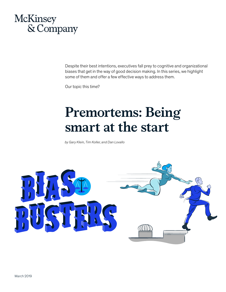# McKinsey & Company

Despite their best intentions, executives fall prey to cognitive and organizational biases that get in the way of good decision making. In this series, we highlight some of them and offer a few effective ways to address them.

Our topic this time?

# **Premortems: Being smart at the start**

*by Gary Klein, Tim Koller, and Dan Lovallo*

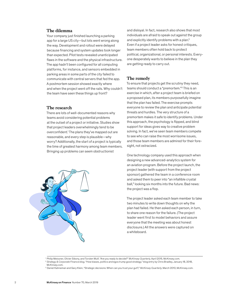## **The dilemma**

Your company just finished launching a parking app for a large US city—but lots went wrong along the way. Development and rollout were delayed because financing and system updates took longer than expected. Pilot tests revealed unanticipated flaws in the software and the physical infrastructure. The app hadn't been configured for all computing platforms, for instance, and sensors embedded in parking areas in some parts of the city failed to communicate with central servers that fed the app. A postmortem session showed exactly where and when the project went off the rails. Why couldn't the team have seen these things up front?

## **The research**

There are lots of well-documented reasons why teams avoid considering potential problems at the outset of a project or initiative. Studies show that project leaders overwhelmingly tend to be overconfident.<sup>1</sup> The plans they've mapped out are reasonable, and every step is plausible—why worry? Additionally, the start of a project is typically the time of greatest harmony among team members. Bringing up problems can seem obstructionist



and disloyal. In fact, research also shows that most individuals are afraid to speak out against the group and explicitly identify problems with a plan.2 Even if a project leader asks for honest critiques, team members often hold back to protect political, organizational, or personal interests. Everyone desperately wants to believe in the plan they are getting ready to carry out.

## **The remedy**

To ensure that projects get the scrutiny they need, teams should conduct a "premortem."3 This is an exercise in which, after a project team is briefed on a proposed plan, its members purposefully imagine that the plan has failed. The exercise prompts everyone to review the plan and anticipate potential threats and hurdles. The very structure of a premortem makes it safe to identify problems. Under this approach, the psychology is flipped, and blind support for ideas gives way to creative problem solving. In fact, we've seen team members compete to see who can raise the most worrisome issues, and those team members are admired for their foresight, not ostracized.

One technology company used this approach when designing a new advanced-analytics system for an aviation program. Before the project launch, the project leader (with support from the project sponsor) gathered the team in a conference room and asked them to peer into "an infallible crystal ball," looking six months into the future. Bad news: the project was a flop.

The project leader asked each team member to take two minutes to write down thoughts on why the plan had failed. He then asked each person, in turn, to share one reason for the failure. (The project leader went first to model behaviors and assure everyone that the meeting was about honest disclosure.) All the answers were captured on a whiteboard.

<sup>1</sup> Philip Meissner, Olivier Sibony, and Torsten Wulf, "Are you ready to decide?" *McKinsey Quarterly*, April 2015, McKinsey.com.

<sup>2</sup> *Strategy & Corporate Finance blog*, "How biases, politics and egos trump good strategy," blog entry by Chris Bradley, January 18, 2018, McKinsey.com.

<sup>3</sup> Daniel Kahneman and Gary Klein, "Strategic decisions: When can you trust your gut?," *McKinsey Quarterly*, March 2010, McKinsey.com.